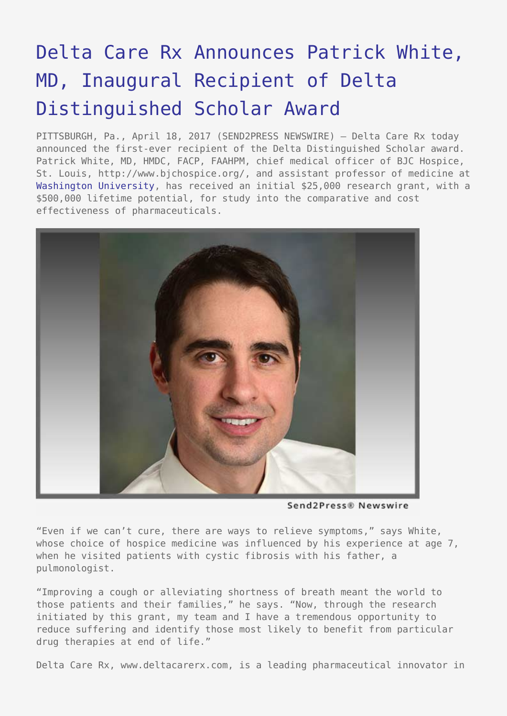## [Delta Care Rx Announces Patrick White,](https://www.send2press.com/wire/delta-care-rx-announces-patrick-white-md-inaugural-recipient-of-delta-distinguished-scholar-award/) [MD, Inaugural Recipient of Delta](https://www.send2press.com/wire/delta-care-rx-announces-patrick-white-md-inaugural-recipient-of-delta-distinguished-scholar-award/) [Distinguished Scholar Award](https://www.send2press.com/wire/delta-care-rx-announces-patrick-white-md-inaugural-recipient-of-delta-distinguished-scholar-award/)

PITTSBURGH, Pa., April 18, 2017 (SEND2PRESS NEWSWIRE) — Delta Care Rx today announced the first-ever recipient of the Delta Distinguished Scholar award. Patrick White, MD, HMDC, FACP, FAAHPM, chief medical officer of BJC Hospice, St. Louis, http://www.bjchospice.org/, and assistant professor of medicine at [Washington University,](https://wustl.edu/) has received an initial \$25,000 research grant, with a \$500,000 lifetime potential, for study into the comparative and cost effectiveness of pharmaceuticals.



Send2Press® Newswire

"Even if we can't cure, there are ways to relieve symptoms," says White, whose choice of hospice medicine was influenced by his experience at age 7, when he visited patients with cystic fibrosis with his father, a pulmonologist.

"Improving a cough or alleviating shortness of breath meant the world to those patients and their families," he says. "Now, through the research initiated by this grant, my team and I have a tremendous opportunity to reduce suffering and identify those most likely to benefit from particular drug therapies at end of life."

Delta Care Rx, www.deltacarerx.com, is a leading pharmaceutical innovator in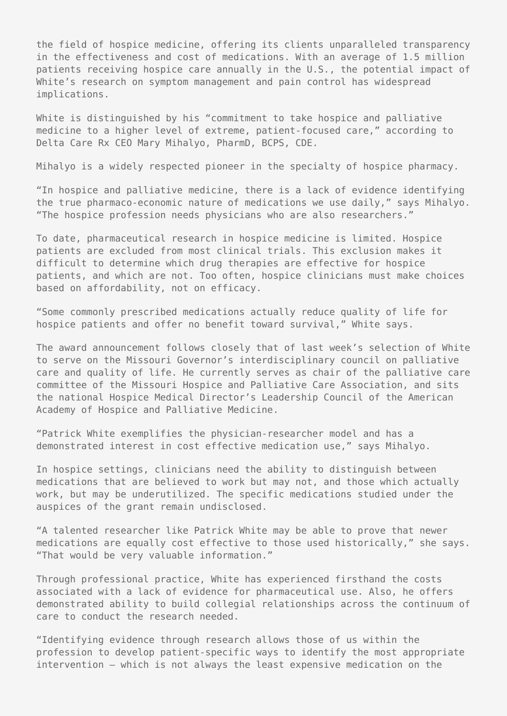the field of hospice medicine, offering its clients unparalleled transparency in the effectiveness and cost of medications. With an average of 1.5 million patients receiving hospice care annually in the U.S., the potential impact of White's research on symptom management and pain control has widespread implications.

White is distinguished by his "commitment to take hospice and palliative medicine to a higher level of extreme, patient-focused care," according to Delta Care Rx CEO Mary Mihalyo, PharmD, BCPS, CDE.

Mihalyo is a widely respected pioneer in the specialty of hospice pharmacy.

"In hospice and palliative medicine, there is a lack of evidence identifying the true pharmaco-economic nature of medications we use daily," says Mihalyo. "The hospice profession needs physicians who are also researchers."

To date, pharmaceutical research in hospice medicine is limited. Hospice patients are excluded from most clinical trials. This exclusion makes it difficult to determine which drug therapies are effective for hospice patients, and which are not. Too often, hospice clinicians must make choices based on affordability, not on efficacy.

"Some commonly prescribed medications actually reduce quality of life for hospice patients and offer no benefit toward survival," White says.

The award announcement follows closely that of last week's selection of White to serve on the Missouri Governor's interdisciplinary council on palliative care and quality of life. He currently serves as chair of the palliative care committee of the Missouri Hospice and Palliative Care Association, and sits the national Hospice Medical Director's Leadership Council of the American Academy of Hospice and Palliative Medicine.

"Patrick White exemplifies the physician-researcher model and has a demonstrated interest in cost effective medication use," says Mihalyo.

In hospice settings, clinicians need the ability to distinguish between medications that are believed to work but may not, and those which actually work, but may be underutilized. The specific medications studied under the auspices of the grant remain undisclosed.

"A talented researcher like Patrick White may be able to prove that newer medications are equally cost effective to those used historically," she says. "That would be very valuable information."

Through professional practice, White has experienced firsthand the costs associated with a lack of evidence for pharmaceutical use. Also, he offers demonstrated ability to build collegial relationships across the continuum of care to conduct the research needed.

"Identifying evidence through research allows those of us within the profession to develop patient-specific ways to identify the most appropriate intervention – which is not always the least expensive medication on the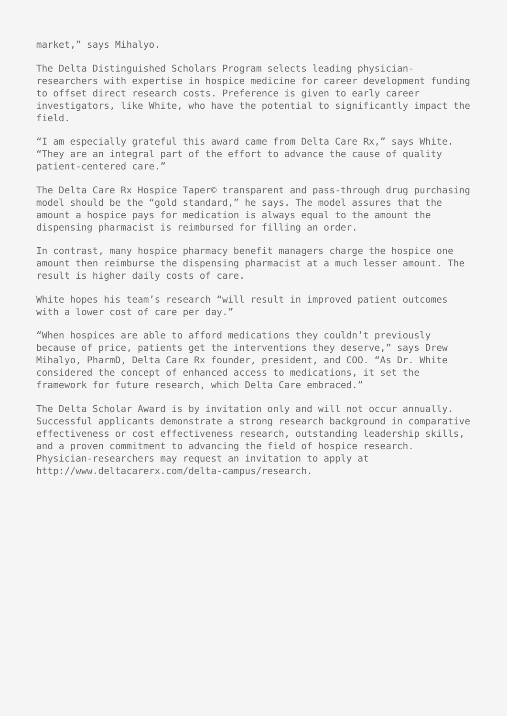market," says Mihalyo.

The Delta Distinguished Scholars Program selects leading physicianresearchers with expertise in hospice medicine for career development funding to offset direct research costs. Preference is given to early career investigators, like White, who have the potential to significantly impact the field.

"I am especially grateful this award came from Delta Care Rx," says White. "They are an integral part of the effort to advance the cause of quality patient-centered care."

The Delta Care Rx Hospice Taper© transparent and pass-through drug purchasing model should be the "gold standard," he says. The model assures that the amount a hospice pays for medication is always equal to the amount the dispensing pharmacist is reimbursed for filling an order.

In contrast, many hospice pharmacy benefit managers charge the hospice one amount then reimburse the dispensing pharmacist at a much lesser amount. The result is higher daily costs of care.

White hopes his team's research "will result in improved patient outcomes with a lower cost of care per day."

"When hospices are able to afford medications they couldn't previously because of price, patients get the interventions they deserve," says Drew Mihalyo, PharmD, Delta Care Rx founder, president, and COO. "As Dr. White considered the concept of enhanced access to medications, it set the framework for future research, which Delta Care embraced."

The Delta Scholar Award is by invitation only and will not occur annually. Successful applicants demonstrate a strong research background in comparative effectiveness or cost effectiveness research, outstanding leadership skills, and a proven commitment to advancing the field of hospice research. Physician-researchers may request an invitation to apply at http://www.deltacarerx.com/delta-campus/research.